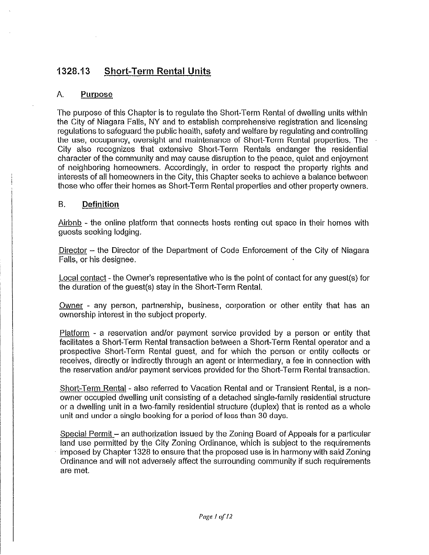# 1328.13 Shorf-Term Rental Units

# A. Purpose

The purpose of this Chapter is to regulate the Short-Term Rental of dwelling units within the City of Niagara Fatis, NY and to establish comprehensive registration and licensing regulations to safeguard the public health, safety and welfare by regulating and controlling the use, occupancy, oversight and maintenance of Short-Term Rental properties. The City also recognizes that extensive Short-Term Rentals endanger the residential character of the community and may cause disruption to the peace, quiet and enjoyment of neighboring homeowners. Accordingly, in order to respect the property rights and interests of all homeowners in the City, this Chapter seeks to achieve a balance between those who offer their homes as Short-Term Rental properties and other property owners.

# B. Definition

Airbnb - the online platform that connects hosts renting out space in their homes with guests seeking lodging.

Director - the Director of the Department of Code Enforcement of the City of Niagara Falls, or his designee.

Local contact - the Owner's representative who is the point of contact for any guest(s) for the duration of the guest(s) stay in the Short-Tenn Rental.

Owner - any person, partnership, business, corporation or other entity that has an ownership interest in the subject property.

Platform  $\cdot$  a reservation and/or payment service provided by a person or entity that facilitates a Short-Term Rental transaction between a Short-Term Rental operator and a prospective Short-Term Rental guest, and for which the person or entity coiiects or receives, directly or indirectly through an agent or intermediary, a fee in connection with the reservation and/or payment services provided for the Short-Term Rental transaction.

Short-Term Rental - also referred to Vacation Rental and or Transient Rental, is a nonowner occupied dwelling unit consisting of a detached single-family residential structure or a dwelling unit in a two-family residential structure (duplex) that is rented as a whole unit and under a single booking for a period of less than 30 days.

Special Permit - an authorization issued by the Zoning Board of Appeals for a particular land use permitted by the City Zoning Ordinance, which is subject to the requirements imposed by Chapter 1328 to ensure that the proposed use is in harmony with said Zoning Ordinance and will not adversely affect the surrounding community if such requirements are met.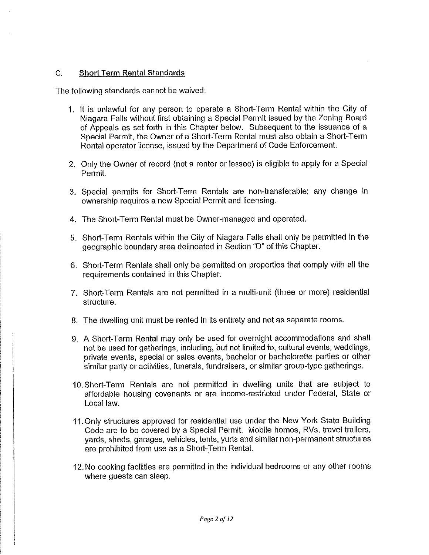## C. Short Term Rental Standards

The following standards cannot be waived;

- 1. It is unlawful for any person to operate a Short-Term Rental within the City of Niagara Falis without first obtaining a Special Permit issued by the Zoning Board of Appeals as set forth in this Chapter below. Subsequent to the issuance of a Special Permit, the Owner of a Short-Term Rental must also obtain a Short-Term Rental operator license, issued by the Department of Code Enforcement.
- 2. Only the Owner of record (not a renter or lessee) is eligible to apply for a Special Permit.
- 3. Special permits for Short-Term Rentals are non-transferable; any change in ownership requires a new Special Permit and licensing.
- 4. The Short-Term Rental must be Owner-managed and operated.
- 5. Short-Term Rentals within the City of Niagara Falls shall only be permitted in the geographic boundary area delineated in Section "D" of this Chapter.
- 6. Short-Term Rentals shall only be permitted on properties that compiy with all the requirements contained in this Chapter.
- 7. Short-Term Rentals are not permitted in a multi-unit (three or more) residential structure.
- 8. The dwelling unit must be rented in its entirety and not as separate rooms.
- 9. A Short-Term Rental may only be used for overnight accommodations and shall not be used for gatherings, including, but not limited to, cultural events, weddings, private events, special or sates events, bachelor or bachelorette parties or other similar party or activities, funerals, fundraisers, or similar group-type gatherings.
- tO.Short-Term Rentals are not permitted in dwelling units that are subject to affordable housing covenants or are income-reslricted under Federal, State or Local law.
- 11. Only structures approved for residential use under the New York State Building Code are to be covered by a Special Permit. Mobile homes, RVs, travel trailers, yards, sheds, garages, vehicles, tents. yurts and similar non-permanent structures are prohibited from use as a Short-Term Rental.
- 12. No cooking facilities are permitted in the individual bedrooms or any other rooms where quests can sleep.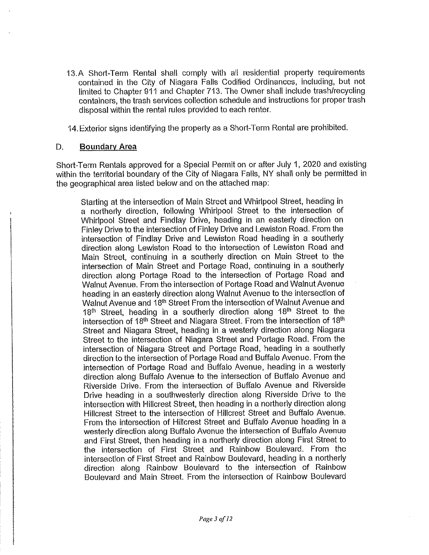13.A Short-Term Rental shall comply with all residential property requirements contained in the City of Niagara Falls Codified Ordinances, including, but not limited to Chapter 911 and Chapter 713. The Owner shall include trash/recycting containers, the trash services collection schedule and instructions for proper trash disposal within the rental rules provided to each renter.

14. Exterior signs identifying the property as a Short-Term Rental are prohibited.

#### D. Boundary Area

Short-Term Rentals approved for a Special Permit on or after July 1, 2020 and existing within the territorial boundary of the City of Niagara Falls, NY shall only be permitted in the geographical area listed beiow and on the attached map:

Starting at the intersection of Main Street and Whirlpool Street, heading in a northeriy direction, foiiowing Whirlpool Street to the intersection of Whirlpool Street and Findlay Drive, heading in an easterly direction on Finley Drive to the intersection of Finley Drive and Lewiston Road. From the intersection of Findiay Drive and Lewiston Road heading in a southerly direction along Lewiston Road to the intersection of Lewiston Road and Main Street, continuing in a southerly direction on Main Street to the intersection of Main Street and Portage Road, continuing in a southerly direction along Portage Road to the intersection of Portage Road and Walnut Avenue. From the intersection of Portage Road and Walnut Avenue heading in an easterly direction along Walnut Avenue to the intersection of Walnut Avenue and 18<sup>th</sup> Street From the intersection of Walnut Avenue and 18<sup>th</sup> Street, heading in a southerly direction along 18<sup>th</sup> Street to the intersection of 18<sup>th</sup> Street and Niagara Street. From the intersection of 18<sup>th</sup> Street and Niagara Street, heading in a westeriy direction along Niagara Street to the intersection of Niagara Street and Portage Road. From the intersection of Niagara Street and Portage Road, heading in a southerly direction to the intersection of Portage Road and Buffalo Avenue. From the intersection of Portage Road and Buffalo Avenue, heading in a westerly direction along Buffalo Avenue to the intersection of Buffalo Avenue and Riverside Drive. From the intersection of Buffalo Avenue and Riverside Drive heading in a southwesterly direction along Riverside Drive to the intersection with Hilicrest Street, then heading in a northerty direction along Hillcrest Street to the intersection of Hillcresf Street and Buffalo Avenue. From the intersection of Hillcrest Street and Buffalo Avenue heading in a westerly direction along Buffalo Avenue the intersection of Buffalo Avenue and First Street, then heading in a northerly direction along First Street to the intersection of First Street and Rainbow Boulevard. From the intersection of First Street and Rainbow Boulevard, heading in a northerly direction along Rainbow Boulevard to the intersection of Rainbow Boulevard and Main Street. From the intersection of Rainbow Boulevard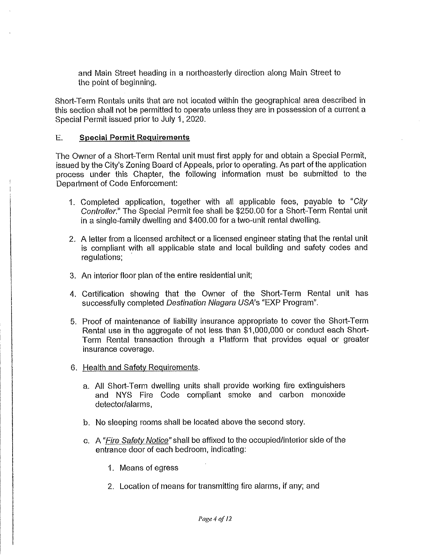and Main Street heading in a northeasterly direction along Main Street to the point of beginning.

Short-Term Rentals units that are not located within the geographical area described in this section shall not be permitted to operate unless they are in possession of a current a Special Permit issued prior to July 1, 2020.

### E. Special Permit Requirements

The Owner of a Short-Term Rental unit must first apply for and obtain a Special Permit, issued by the City's Zoning Board of Appeals, prior to operating. As part of the application process under this Chapter, the following information must be submitted to the Department of Code Enforcement:

- 1. Completed application, together with all applicable fees, payable to "City Controller." The Special Permit fee shall be \$250.00 for a Short-Term Rental unit in a singie-family dwelling and \$400.00 for a two-unit rental dwelling.
- 2. A letter from a licensed architect or a licensed engineer stating that the rental unit is compliant with ail applicable state and local building and safety codes and regulations;
- 3. An interior floor plan of the entire residential unit;
- 4. Certification showing that the Owner of the Short-Term Rental unit has successfully completed Destination Niagara USA's "EXP Program".
- 5, Proof of maintenance of liability insurance appropriate to cover the Short-Term Rental use in the aggregate of not fess than \$1,000,000 or conduct each Short-Term Rental transaction through a Platform that provides equal or greater insurance coverage.
- 6. Health and Safety Requirements.
	- a. All Short-Term dwelling units shall provide working fire extinguishers and NYS Fire Code compliant smoke and carbon monoxide detector/alarms,
	- b. No sleeping rooms shall be located above the second story.
	- c. A "Fire Safety Notice" shall be affixed to the occupied/interior side of the entrance door of each bedroom, indicating:
		- 1. Means ofegress
		- 2. Location of means for transmitting fire alarms, if any; and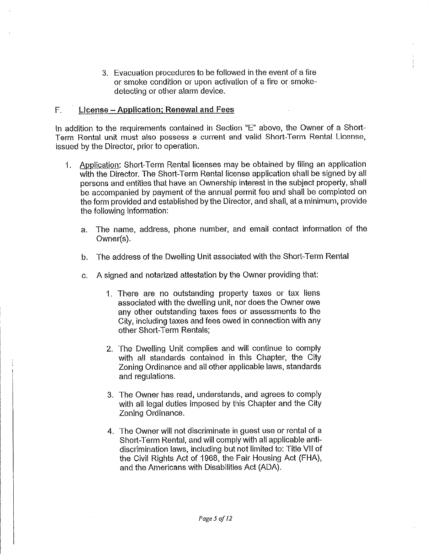3. Evacuation procedures to be followed in the event of a fire or smoke condition or upon activation of a fire or smokedetecting or other alarm device.

#### $F.$  License - Application; Renewal and Fees

In addition to the requirements contained in Section "E" above, the Owner of a Short-Term Rental unit must also possess a current and valid Short-Term Rental License, issued by the Director, prior to operation.

- 1. Appiication: Short-Term Rental licenses may be obtained by fiiing an application with the Director. The Short-Term Rental license application shall be signed by all persons and entities that have an Ownership interest in the subject property, shall be accompanied by payment of the annual permit fee and shall be completed on the form provided and established by the Director, and shall, at a minimum, provide the following information:
	- a. The name, address, phone number, and email contact information of the Owner(s).
	- b. The address of the Dwelling Unit associated with the Short-Term Rental
	- c. A signed and notarized attestation by the Owner providing that:
		- 1. There are no outstanding property taxes or tax liens associated with the dwelling unit, nor does the Owner owe any other outstanding taxes fees or assessments to the City, including taxes and fees owed in connection with any other Short-Term Rentals;
		- 2. The Dwelling Unit complies and will continue to comply with all standards contained in this Chapter, the City Zoning Ordinance and all other applicable laws, standards and regulations.
		- 3. The Owner has read, understands, and agrees to comply with all legal duties imposed by this Chapter and the City Zoning Ordinance.
		- 4. The Owner will not discriminate in guest use or rental of a Short-Term Rental, and will comply with all applicable antidiscrimination laws, including but not limited to: Title VII of the Civii Rights Act of 1968. the Fair Housing Act (FHA), and the Americans with Disabilities Act (ADA).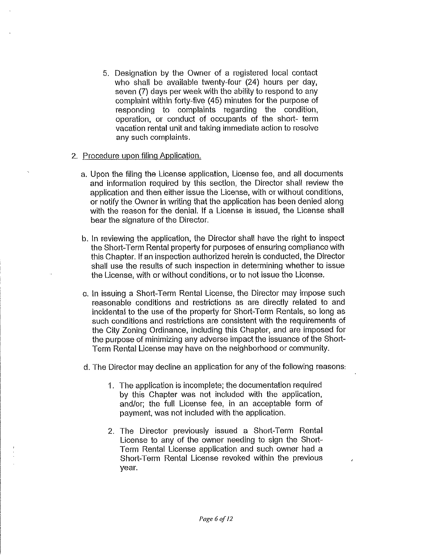- 5. Designation by the Owner of a registered local contact who shall be available twenty-four (24) hours per day, seven (7) days per week with the ability to respond to any complaint within foriy-five (45) minutes for the purpose of responding to complaints regarding the condition, operation, or conduct of occupants of the short- term vacation rental unit and taking immediate action to resolve any such complaints.
- 2. Procedure upon filing Application.
	- a. Upon the filing the License application, License fee, and all documents and information required by this section, the Director shall review the application and then either issue the License, with or without conditions, or notify the Owner in writing that the application has been denied along with the reason for the denial, if a License is issued, the License shall bear the signature of the Director.
	- b. in reviewing the application, the Director shall have the right to inspect the Short-Term Rental property for purposes of ensuring compliance with this Chapter. If an inspection authorized herein is conducted, the Director shall use the results of such inspection in determining whether to issue the License, with or without conditions, or to not issue the License.
	- c. in issuing a Short-Term Rental License, the Director may impose such reasonable conditions and restrictions as are directly related to and incidentai to the use of the property for Short-Term Rentals, so long as such conditions and restrictions are consistent with the requirements of the City Zoning Ordinance, including this Chapter, and are imposed for the purpose of minimizing any adverse impact the issuance of the Short-Term Rental License may have on the neighborhood or community.
	- d. The Director may decline an application for any of the following reasons:
		- 1. The application is incomplete; the documentation required by this Chapter was not included with the application, and/or; the full License fee, in an acceptable form of payment, was not induded with the application.
		- 2. The Director previously issued a Short-Term Rental License to any of the owner needing to sign the Short-Term Rental License application and such owner had a Short-Term Rental License revoked within the previous year.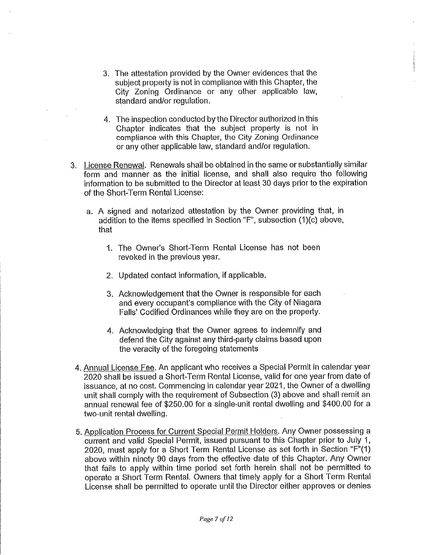- 3. The attestation provided by the Owner evidences that the subject property is not in compliance with this Chapter, the City Zoning Ordinance or any other applicable law, standard and/or regulation.
- 4. The inspection conducted by the Director authorized in this Chapter indicates that the subject property is not in compliance with this Chapter, the City Zoning Ordinance or any other applicable law, standard and/or regulation.
- 3. License Renewal. Renewals shall be obtained in the same or substantially similar form and manner as the initial license, and shall also require the following information to be submitted to the Director at least 30 days prior to the expiration of the Short-Term Rental License:
	- a. A signed and notarized attestation by the Owner providing that, in addition to the items specified in Section "F", subsection (1)(c) above, that
		- 1. The Owner's Short-Term Rental License has not been revoked in the previous year.
		- 2. Updated contact information, if applicable.
		- 3. Acknowledgement that the Owner is responsible for each and every occupant's compliance with the City of Niagara Falls' Codified Ordinances while they are on the property.
		- 4. Acknowledging that the Owner agrees to indemnify and defend the City against any third-party claims based upon the veracity of the foregoing statements
- 4. Annual License Fee. An applicant who receives a Special Permit in calendar year 2020 shall be issued a Short-Term Rental License, valid for one year from date of issuance, at no cost Commencing in calendar year 2021, the Owner of a dwelling unit shall comply with the requirement of Subsection (3) above and shall remit an annual renewal fee of \$250.00 for a single-unit rental dwelling and \$400.00 for a two-unit rental dwelling.
- 5. Application Process for Current Special Permit Holders. Any Owner possessing a current and valid Special Permit, issued pursuant to this Chapter prior to July 1, 2020, must apply for a Short Term Rental License as set forth in Section "F"(1) above within ninety 90 days from the effective date of this Chapter. Any Owner that fails to apply within time period set forth herein shall not be permitted to operate a Short Term Rental. Owners that timely apply for a Short Term Rental License shall be permitted to operate until the Director either approves or denies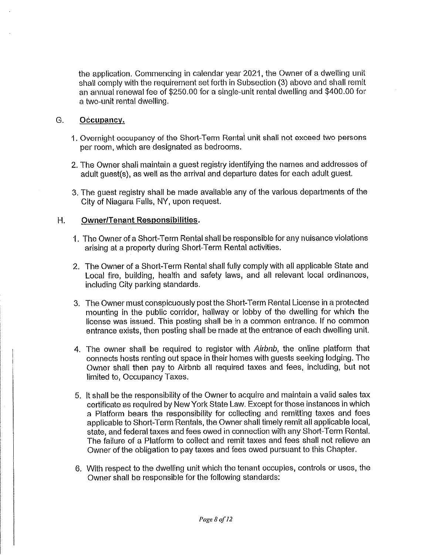the application. Commencing in calendar year 2021, the Owner of a dwelling unit shall comply with the requirement set forth in Subsection (3) above and shall remit an annual renewal fee of \$250,00 for a slngte-unit rental dwelling and \$400.00 for a two-unit rental dwelling.

#### G. Occupancy.

- 1. Overnight occupancy of the Short-Term Rental unit shall not exceed two persons per room, which are designated as bedrooms.
- 2. The Owner shalt maintain a guest registry identifying the names and addresses of adult guest(s), as well as the arrival and departure dates for each adult guest.
- 3. The guest registry shall be made available any of the various departments of the City of Niagara Falls, NY, upon request.

### H. Owner/Tenant Responsibilities.

- 1. The Owner of a Short-Term Rental shall be responsible for any nuisance violations arising at a property during Short-Term Rental activities.
- 2. The Owner of a Short-Term Rental shall fully comply with all applicable State and Loca! fire, building, health and safety laws, and all relevant local ordinances, including City parking standards.
- 3. The Owner must conspicuously post the Short-Term Rental License in a protected mounting in the public corridor, hallway or lobby of the dwelling for which the license was issued. This posting shall be in a common entrance. If no common entrance exists, then posting shall be made at the entrance of each dwelling unit.
- 4. The owner shall be required to register with Airbnb, the online platform that connects hosts renting out space in their homes with guests seeking lodging. The Owner shali then pay to Airbnb ail required taxes and fees, including, but not limited to, Occupancy Taxes.
- 5. It shall be the responsibility of the Owner to acquire and maintain a valid sales tax certificate as required by New York State Law. Except for those instances in which a Platform bears the responsibility for coilecting and remitting taxes and fees applicable to Short-Term Rentals, the Owner shall timely remit all applicable local, state, and federal taxes and fees owed in connection with any Short-Term Rental. The failure of a Platform to collect and remit taxes and fees shall not relieve an Owner of the obligation to pay taxes and fees owed pursuant to this Chapter.
- 6. With respect to the dwelling unit which the tenant occupies, controls or uses, the Owner shall be responsible for the following standards: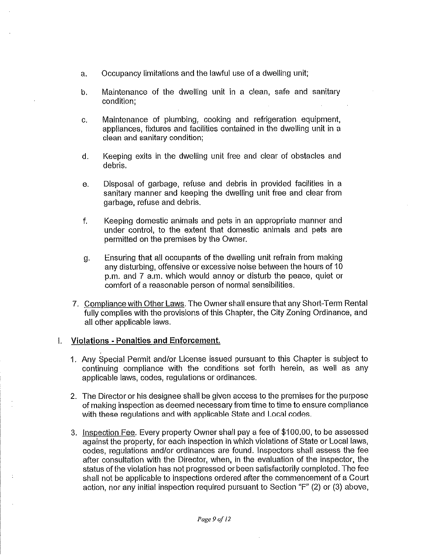- a. Occupancy limitations and the lawful use of a dwelling unit;
- b. Maintenance of the dwelling unit in a dean, safe and sanitary condition;
- G. Maintenance of plumbing, cooking and refrigeration equipment, appliances, fixtures and facilities contained in the dwelling unit in a clean and sanitary condition;
- d. Keeping exits in the dwelling unit free and clear of obstacles and debris.
- e. Disposal of garbage, refuse and debris in provided facilities in a sanitary manner and keeping the dwelling unit free and dear from garbage, refuse and debris.
- f. Keeping domestic animals and pets in an appropriate manner and under confroi, to the extent that domestic animals and pets are permitted on the premises by the Owner.
- g. Ensuring that al! occupants of the dwelling unit refrain from making any disturbing, offensive or excessive noise between the hours of 10 p.m. and 7 a.m. which would annoy or disturb the peace, quiet or comfort of a reasonable person of normal sensibilities.
- 7. Compliance with Other Laws. The Owner shall ensure that any Short-Term Rental fully complies with the provisions of this Chapter, the City Zoning Ordinance, and all other applicable laws.

#### Violations - Penalties and Enforcement.  $\mathbf{L}$

- 1. Any Special Permit and/or License issued pursuant to this Chapter is subject to continuing compliance with the conditions set forth herein, as well as any applicable laws, codes, regulations or ordinances.
- 2. The Director or his designee shall be given access to the premises for the purpose of making inspection as deemed necessary from time to time to ensure compliance with these regulations and with applicable State and Local codes.
- 3. Inspection Fee. Every property Owner shall pay a fee of \$100.00, to be assessed against the property, for each inspection In which violations of State or Local laws, codes, regulations and/or ordinances are found, inspectors shall assess the fee after consultation with the Director, when, in the evaluation of the inspector, the status of the violation has not progressed or been satisfactorily completed. The fee shall not be applicable to inspections ordered after the commencement of a Court action, nor any initial inspection required pursuant to Section "F" (2) or (3) above,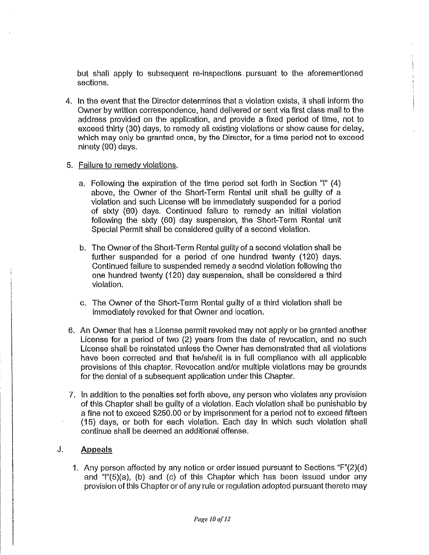but shall apply to subsequent re-inspections, pursuant to the aforementioned sections.

4. in the event that the Director determines that a violation exists, it shall inform the Owner by written correspondence, hand delivered or sent via first class mail to the address provided on the application, and provide a fixed period of time, not to exceed thirty (30) days, to remedy all existing violations or show cause for delay, which may only be granted once, by the Director, for a time period not to exceed ninety (90) days.

#### 5. Failure to remedy vioiattons.

- a. Following the expiration of the time period set forth in Section "!" (4) above, the Owner of the Short-Term Rental unit shall be guilty of a violation and such License will be immediately suspended for a period of sixty (60) days. Continued failure to remedy an initial vioiation following the sixty (60) day suspension, the Short-Term Rental unit Special Permit shall be considered guilty of a second violation.
- b. The Owner of the Short-Term Rental guilty of a second violation shall be further suspended for a period of one hundred twenty (120) days. Continued failure to suspended remedy a second violation following the one hundred twenty (120) day suspension, shal! be considered a third violation,
- c. The Owner of the Short-Term Rental guilty of a third violation shall be immediately revoked for that Owner and location.
- 6. An Owner that has a License permit revoked may not apply or be granted another License for a period of two (2) years from the date of revocation, and no such License shall be reinstated unless the Owner has demonstrated that all violations have been corrected and that he/she/it is in full compliance with all applicable provisions of this chapter. Revocation and/or multiple violations may be grounds for the denial of a subsequent application under this Chapter.
- 7. In addition to the penalties set forth above, any person who vloiates any provision of this Chapter shall be guilty of a violation. Each violation shall be punishable by a fine not to exceed \$250.00 or by imprisonment for a period not to exceed fifteen (15) days, or both for each violation. Each day in which such violation shall continue shall be deemed an additional offense.

#### J. Appeals

1. Any person affected by any notice or order issued pursuant to Sections "F"(2)(d) and  $T(5)(a)$ , (b) and (c) of this Chapter which has been issued under any provision of this Chapter or of any rule or regulation adopted pursuant thereto may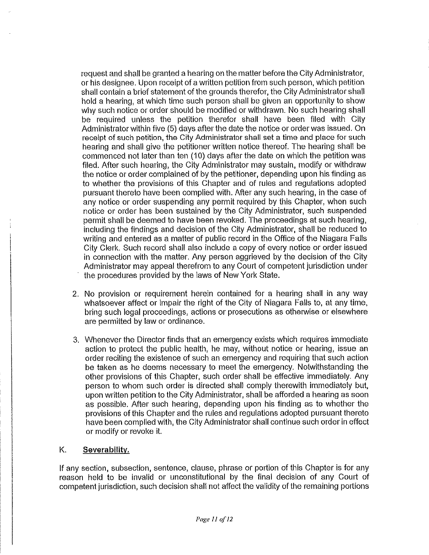request and shail be granted a hearing on the matter before the City Administrator, or his designee. Upon receipt of a written petition from such person, which petition shall contain a brief statement of the grounds therefor, the City Administrator shall hold a hearing, at which time such person shall be given an opportunity to show why such notice or order should be modified or withdrawn. No such hearing shall be required unless the petition therefor shall have been filed with City Administrator within five (5) days after the date the notice or order was issued. On receipt of such petition, the City Administrator shall set a time and place for such hearing and shall give the petitioner written notice thereof. The hearing shall be commenced not later than ten (10) days after the date on which the petition was filed. After such hearing, the City Administrator may sustain, modify or withdraw the notice or order complained of by the petitioner, depending upon his finding as to whether the provisions of this Chapter and of rules and regulations adopted pursuant thereto have been complied with. After any such hearing, in the case of any notice or order suspending any permit required by this Chapter, when such notice or order has been sustained by the City Administrator, such suspended permit shall be deemed to have been revoked. The proceedings at such hearing, including the findings and decision of the City Administrator, shall be reduced to writing and entered as a matter of public record in the Office of the Niagara Falls City Clerk. Such record shall also include a copy of every notice or order issued in connection with the matter. Any person aggrieved by the decision of the City Administrator may appeal therefrom to any Court of competent jurisdiction under the procedures provided by the laws of New York State.

- 2. No provision or requirement herein contained for a hearing shall in any way whatsoever affect or impair the right of the City of Niagara Fails to, at any time, bring such legal proceedings, actions or prosecutions as otherwise or elsewhere are permitted by law or ordinance.
- 3. Whenever the Director finds that an emergency exists which requires immediate action to protect the public health, he may, without notice or hearing, issue an order reciting the existence of such an emergency and requiring that such action be taken as he deems necessary to meet the emergency. Notwithstanding the other provisions of this Chapter, such order shall be effective immediately. Any person to whom such order is directed shall comply therewith immediately but. upon written petition to the City Administrator, shall be afforded a hearing as soon as possible. After such hearing, depending upon his finding as to whether the provisions of this Chapter and the rules and regulations adopted pursuant thereto have been complied with, the City Administrator shall continue such order in effect or modify or revoke it.

### K. Severabilitv.

If any section, subsection, sentence, clause, phrase or portion of this Chapter is for any reason held to be invalid or unconstitutional by the final decision of any Court of competent jurisdiction, such decision shall not affect the validity of the remaining portions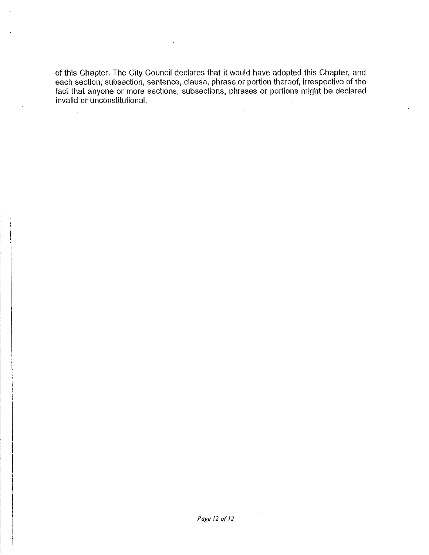of this Chapter. The City Council declares that it would have adopted this Chapter, and each section, subsection, sentence, clause, phrase or portion thereof, irrespective of the fact that anyone or more sections, subsections, phrases or portions might be declared invalid or unconstitutional.

 $\overline{a}$ 

 $\mathcal{A}^{\mathcal{A}}$ 

 $\ddot{\phantom{a}}$